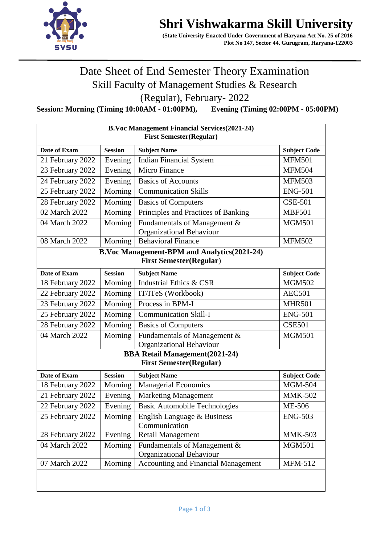

## **Shri Vishwakarma Skill University**

 **(State University Enacted Under Government of Haryana Act No. 25 of 2016 Plot No 147, Sector 44, Gurugram, Haryana-122003** 

Date Sheet of End Semester Theory Examination Skill Faculty of Management Studies & Research

(Regular), February- 2022

**Session: Morning (Timing 10:00AM - 01:00PM), Evening (Timing 02:00PM - 05:00PM)**

| <b>B.Voc Management Financial Services (2021-24)</b><br><b>First Semester(Regular)</b> |                |                                                          |                     |  |  |  |
|----------------------------------------------------------------------------------------|----------------|----------------------------------------------------------|---------------------|--|--|--|
| Date of Exam                                                                           | <b>Session</b> | <b>Subject Name</b>                                      | <b>Subject Code</b> |  |  |  |
| 21 February 2022                                                                       | Evening        | <b>Indian Financial System</b>                           | <b>MFM501</b>       |  |  |  |
| 23 February 2022                                                                       | Evening        | <b>Micro Finance</b>                                     | <b>MFM504</b>       |  |  |  |
| 24 February 2022                                                                       | Evening        | <b>Basics of Accounts</b>                                | <b>MFM503</b>       |  |  |  |
| 25 February 2022                                                                       | Morning        | <b>Communication Skills</b>                              | <b>ENG-501</b>      |  |  |  |
| 28 February 2022                                                                       | Morning        | <b>Basics of Computers</b>                               | <b>CSE-501</b>      |  |  |  |
| 02 March 2022                                                                          | Morning        | Principles and Practices of Banking                      | <b>MBF501</b>       |  |  |  |
| 04 March 2022                                                                          | Morning        | Fundamentals of Management &<br>Organizational Behaviour | <b>MGM501</b>       |  |  |  |
| 08 March 2022                                                                          | Morning        | <b>Behavioral Finance</b>                                | <b>MFM502</b>       |  |  |  |
| <b>B.Voc Management-BPM and Analytics(2021-24)</b><br><b>First Semester(Regular)</b>   |                |                                                          |                     |  |  |  |
| Date of Exam                                                                           | <b>Session</b> | <b>Subject Name</b>                                      | <b>Subject Code</b> |  |  |  |
| 18 February 2022                                                                       | Morning        | Industrial Ethics & CSR                                  | <b>MGM502</b>       |  |  |  |
| 22 February 2022                                                                       | Morning        | IT/ITeS (Workbook)                                       | <b>AEC501</b>       |  |  |  |
| $\overline{23}$ February 2022                                                          | Morning        | Process in BPM-I                                         | <b>MHR501</b>       |  |  |  |
| 25 February 2022                                                                       | Morning        | <b>Communication Skill-I</b>                             | <b>ENG-501</b>      |  |  |  |
| 28 February 2022                                                                       | Morning        | <b>Basics of Computers</b>                               | <b>CSE501</b>       |  |  |  |
| 04 March 2022                                                                          | Morning        | Fundamentals of Management &<br>Organizational Behaviour | <b>MGM501</b>       |  |  |  |
| <b>BBA Retail Management(2021-24)</b><br><b>First Semester(Regular)</b>                |                |                                                          |                     |  |  |  |
| Date of Exam                                                                           | <b>Session</b> | <b>Subject Name</b>                                      | <b>Subject Code</b> |  |  |  |
| 18 February 2022                                                                       | Morning        | <b>Managerial Economics</b>                              | <b>MGM-504</b>      |  |  |  |
| 21 February 2022                                                                       | Evening        | <b>Marketing Management</b>                              | <b>MMK-502</b>      |  |  |  |
| 22 February 2022                                                                       | Evening        | <b>Basic Automobile Technologies</b>                     | ME-506              |  |  |  |
| 25 February 2022                                                                       | Morning        | English Language & Business<br>Communication             | <b>ENG-503</b>      |  |  |  |
| 28 February 2022                                                                       | Evening        | <b>Retail Management</b>                                 | <b>MMK-503</b>      |  |  |  |
| 04 March 2022                                                                          | Morning        | Fundamentals of Management &<br>Organizational Behaviour | <b>MGM501</b>       |  |  |  |
| 07 March 2022                                                                          | Morning        | Accounting and Financial Management                      | $MFM-512$           |  |  |  |
|                                                                                        |                |                                                          |                     |  |  |  |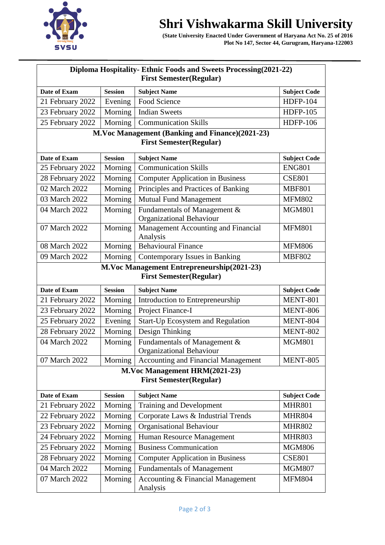## **Shri Vishwakarma Skill University**



 **(State University Enacted Under Government of Haryana Act No. 25 of 2016 Plot No 147, Sector 44, Gurugram, Haryana-122003** 

| Diploma Hospitality- Ethnic Foods and Sweets Processing (2021-22)            |                |                                                          |                     |  |  |  |
|------------------------------------------------------------------------------|----------------|----------------------------------------------------------|---------------------|--|--|--|
| <b>First Semester(Regular)</b>                                               |                |                                                          |                     |  |  |  |
| Date of Exam                                                                 | <b>Session</b> | <b>Subject Name</b>                                      | <b>Subject Code</b> |  |  |  |
| 21 February 2022                                                             | Evening        | Food Science                                             | <b>HDFP-104</b>     |  |  |  |
| 23 February 2022                                                             | Morning        | <b>Indian Sweets</b>                                     | <b>HDFP-105</b>     |  |  |  |
| 25 February 2022                                                             | Morning        | <b>Communication Skills</b>                              | <b>HDFP-106</b>     |  |  |  |
|                                                                              |                | M.Voc Management (Banking and Finance)(2021-23)          |                     |  |  |  |
| <b>First Semester(Regular)</b>                                               |                |                                                          |                     |  |  |  |
| Date of Exam                                                                 | <b>Session</b> | <b>Subject Name</b>                                      | <b>Subject Code</b> |  |  |  |
| 25 February 2022                                                             | Morning        | <b>Communication Skills</b>                              | <b>ENG801</b>       |  |  |  |
| 28 February 2022                                                             | Morning        | <b>Computer Application in Business</b>                  | <b>CSE801</b>       |  |  |  |
| 02 March 2022                                                                | Morning        | Principles and Practices of Banking                      | <b>MBF801</b>       |  |  |  |
| 03 March 2022                                                                | Morning        | <b>Mutual Fund Management</b>                            | <b>MFM802</b>       |  |  |  |
| 04 March 2022                                                                | Morning        | Fundamentals of Management &<br>Organizational Behaviour | <b>MGM801</b>       |  |  |  |
| 07 March 2022                                                                | Morning        | Management Accounting and Financial<br>Analysis          | <b>MFM801</b>       |  |  |  |
| 08 March 2022                                                                | Morning        | <b>Behavioural Finance</b>                               | <b>MFM806</b>       |  |  |  |
| 09 March 2022                                                                | Morning        | Contemporary Issues in Banking                           | <b>MBF802</b>       |  |  |  |
| M.Voc Management Entrepreneurship(2021-23)<br><b>First Semester(Regular)</b> |                |                                                          |                     |  |  |  |
| Date of Exam                                                                 | <b>Session</b> | <b>Subject Name</b>                                      | <b>Subject Code</b> |  |  |  |
| 21 February 2022                                                             | Morning        | Introduction to Entrepreneurship                         | <b>MENT-801</b>     |  |  |  |
| 23 February 2022                                                             | Morning        | Project Finance-I                                        | <b>MENT-806</b>     |  |  |  |
| 25 February 2022                                                             | Evening        | Start-Up Ecosystem and Regulation                        | MENT-804            |  |  |  |
| 28 February 2022                                                             | Morning        | Design Thinking                                          | <b>MENT-802</b>     |  |  |  |
| 04 March 2022                                                                | Morning        | Fundamentals of Management &<br>Organizational Behaviour | <b>MGM801</b>       |  |  |  |
| 07 March 2022                                                                | Morning        | <b>Accounting and Financial Management</b>               | <b>MENT-805</b>     |  |  |  |
| M.Voc Management HRM(2021-23)<br><b>First Semester(Regular)</b>              |                |                                                          |                     |  |  |  |
| Date of Exam                                                                 | <b>Session</b> | <b>Subject Name</b>                                      | <b>Subject Code</b> |  |  |  |
| 21 February 2022                                                             | Morning        | Training and Development                                 | <b>MHR801</b>       |  |  |  |
| 22 February 2022                                                             | Morning        | Corporate Laws & Industrial Trends                       | <b>MHR804</b>       |  |  |  |
| 23 February 2022                                                             | Morning        | <b>Organisational Behaviour</b>                          | <b>MHR802</b>       |  |  |  |
| 24 February 2022                                                             | Morning        | Human Resource Management                                | <b>MHR803</b>       |  |  |  |
| 25 February 2022                                                             | Morning        | <b>Business Communication</b>                            | <b>MGM806</b>       |  |  |  |
| 28 February 2022                                                             | Morning        | <b>Computer Application in Business</b>                  | <b>CSE801</b>       |  |  |  |
| 04 March 2022                                                                | Morning        | <b>Fundamentals of Management</b>                        | <b>MGM807</b>       |  |  |  |
| 07 March 2022                                                                | Morning        | Accounting & Financial Management<br>Analysis            | <b>MFM804</b>       |  |  |  |